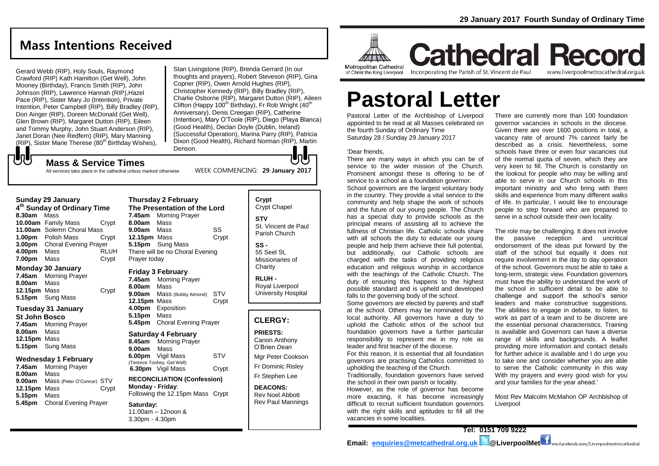# **Mass Intentions Received**

Gerard Webb (RIP), Holy Souls, Raymond Crawford (RIP) Kath Hamilton (Get Well), John Mooney (Birthday), Francis Smith (RIP), John Johnson (RIP), Lawrence Hannah (RIP),Hazel Pace (RIP), Sister Mary Jo (Intention), Private Intention, Peter Campbell (RIP), Billy Bradley (RIP). Don Ainger (RIP), Doreen McDonald (Get Well), Glen Brown (RIP), Margaret Dutton (RIP), Eileen and Tommy Murphy, John Stuart Anderson (RIP), Janet Doran (Nee Redfern) (RIP), Mary Manning (RIP), Sister Marie Therese (80<sup>th</sup> Birthday Wishes),

Stan Livingstone (RIP), Brenda Gerrard (In our thoughts and prayers), Robert Steveson (RIP), Gina Copner (RIP), Owen Arnold Hughes (RIP), Christopher Kennedy (RIP), Billy Bradley (RIP), Charlie Osborne (RIP), Margaret Dutton (RIP), Aileen Clifton (Happy 100<sup>th</sup> Birthday), Fr Rob Wright  $(40<sup>th</sup>)$ Anniversary), Denis Creegan (RIP), Catherine (Intention), Mary O'Toole (RIP), Diego (Playa Blanca) (Good Health), Declan Doyle (Dublin, Ireland) (Successful Operation), Marina Parry (RIP), Patricia Dixon (Good Health), Richard Norman (RIP), Martin Denson.

WEEK COMMENCING: **29 January 2017**

### もし **Mass & Service Times**

All services take place in the cathedral unless marked otherwise

**Sunday 29 January 4 th Sunday of Ordinary Time 8.30am** Mass **10.00am** Family Mass Crypt **11.00am** Solemn Choral Mass **1.00pm** Polish Mass Crypt **3.00pm** Choral Evening Prayer **4.00pm** Mass RLUH **7.00pm** Mass Crypt

### **Monday 30 January**

**7.45am** Morning Prayer **8.00am** Mass **12.15pm** Mass Crypt **5.15pm** Sung Mass

### **Tuesday 31 January**

**St John Bosco 7.45am** Morning Prayer **8.00am** Mass **12.15pm** Mass **5.15pm** Sung Mass

### **Wednesday 1 February**

**7.45am** Morning Prayer **8.00am** Mass **9.00am** Mass (Peter O'Connor) STV **12.15pm** Mass Crypt **5.15pm** Mass **5.45pm** Choral Evening Prayer

### **Thursday 2 February The Presentation of the Lord**

**7.45am** Morning Prayer **8.00am** Mass **9.00am** Mass SS **12.15pm** Mass Crypt **5.15pm** Sung Mass There will be no Choral Evening Prayer today

### **Friday 3 February**

**7.45am** Morning Prayer **8.00am** Mass **9.00am** Mass (Bobby Almond) STV **12.15pm** Mass Crypt **4.00pm** Exposition **5.15pm** Mass **5.45pm** Choral Evening Prayer

### **Saturday 4 February**

**8.45am** Morning Prayer **9.00am** Mass **6.00pm** Vigil Mass STV (Terence Toohey, Get Well) **6.30pm** Vigil Mass Crypt

**RECONCILIATION (Confession) Monday - Friday**: Following the 12.15pm Mass Crypt

#### **Saturday:** 11.00am – 12noon &

3.30pm - 4.30pm

# **Crypt**  Crypt Chapel

lo li

**STV** St. Vincent de Paul Parish Church

### **SS -** 55 Seel St,

Missionaries of **Charity** 

### **RLUH -** Royal Liverpool University Hospital

### **CLERGY:**

**PRIESTS:** Canon Anthony O'Brien *Dean* Mgr Peter Cookson Fr Dominic Risley

Fr Stephen Lee

### **DEACONS:** Rev Noel Abbott Rev Paul Mannings



## **Cathedral Record** Incorporating the Parish of St. Vincent de Paul www.liverpoolmetrocathedral.org.uk

of Christ the King Liverpool

# **Pastoral Letter**

Pastoral Letter of the Archbishop of Liverpool appointed to be read at all Masses celebrated on the fourth Sunday of Ordinary Time Saturday 28 / Sunday 29 January 2017

### 'Dear friends,

There are many ways in which you can be of service to the wider mission of the Church. Prominent amongst these is offering to be of service to a school as a foundation governor. School governors are the largest voluntary body in the country. They provide a vital service to the community and help shape the work of schools and the future of our young people. The Church has a special duty to provide schools as the principal means of assisting all to achieve the fullness of Christian life. Catholic schools share with all schools the duty to educate our young people and help them achieve their full potential, but additionally, our Catholic schools are charged with the tasks of providing religious education and religious worship in accordance with the teachings of the Catholic Church. The duty of ensuring this happens to the highest possible standard and is upheld and developed falls to the governing body of the school.

Some governors are elected by parents and staff at the school. Others may be nominated by the local authority. All governors have a duty to uphold the Catholic ethos of the school but foundation governors have a further particular responsibility to represent me in my role as leader and first teacher of the diocese.

For this reason, it is essential that all foundation governors are practising Catholics committed to upholding the teaching of the Church.

Traditionally, foundation governors have served the school in their own parish or locality. However, as the role of governor has become more exacting, it has become increasingly difficult to recruit sufficient foundation governors with the right skills and aptitudes to fill all the vacancies in some localities.

There are currently more than 100 foundation governor vacancies in schools in the diocese. Given there are over 1600 positions in total, a vacancy rate of around 7% cannot fairly be described as a crisis. Nevertheless, some schools have three or even four vacancies out of the normal quota of seven, which they are very keen to fill. The Church is constantly on the lookout for people who may be willing and able to serve in our Church schools in this important ministry and who bring with them skills and experience from many different walks of life. In particular, I would like to encourage people to step forward who are prepared to serve in a school outside their own locality.

The role may be challenging. It does not involve the passive reception and uncritical endorsement of the ideas put forward by the staff of the school but equally it does not require involvement in the day to day operation of the school. Governors must be able to take a long-term, strategic view. Foundation governors must have the ability to understand the work of the school in sufficient detail to be able to challenge and support the school's senior leaders and make constructive suggestions. The abilities to engage in debate, to listen, to work as part of a team and to be discrete are the essential personal characteristics. Training is available and Governors can have a diverse range of skills and backgrounds. A leaflet providing more information and contact details for further advice is available and I do urge you to take one and consider whether you are able to serve the Catholic community in this way With my prayers and every good wish for you and your families for the year ahead.'

Most Rev Malcolm McMahon OP Archbishop of Liverpool

**Tel: 0151 709 9222**